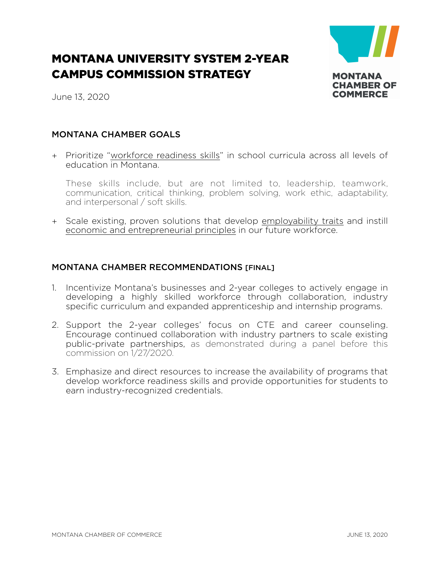# MONTANA UNIVERSITY SYSTEM 2-YEAR CAMPUS COMMISSION STRATEGY



June 13, 2020

## MONTANA CHAMBER GOALS

+ Prioritize "workforce readiness skills" in school curricula across all levels of education in Montana.

These skills include, but are not limited to, leadership, teamwork, communication, critical thinking, problem solving, work ethic, adaptability, and interpersonal / soft skills.

+ Scale existing, proven solutions that develop employability traits and instill economic and entrepreneurial principles in our future workforce.

## MONTANA CHAMBER RECOMMENDATIONS [FINAL]

- 1. Incentivize Montana's businesses and 2-year colleges to actively engage in developing a highly skilled workforce through collaboration, industry specific curriculum and expanded apprenticeship and internship programs.
- 2. Support the 2-year colleges' focus on CTE and career counseling. Encourage continued collaboration with industry partners to scale existing public-private partnerships, as demonstrated during a panel before this commission on 1/27/2020.
- 3. Emphasize and direct resources to increase the availability of programs that develop workforce readiness skills and provide opportunities for students to earn industry-recognized credentials.